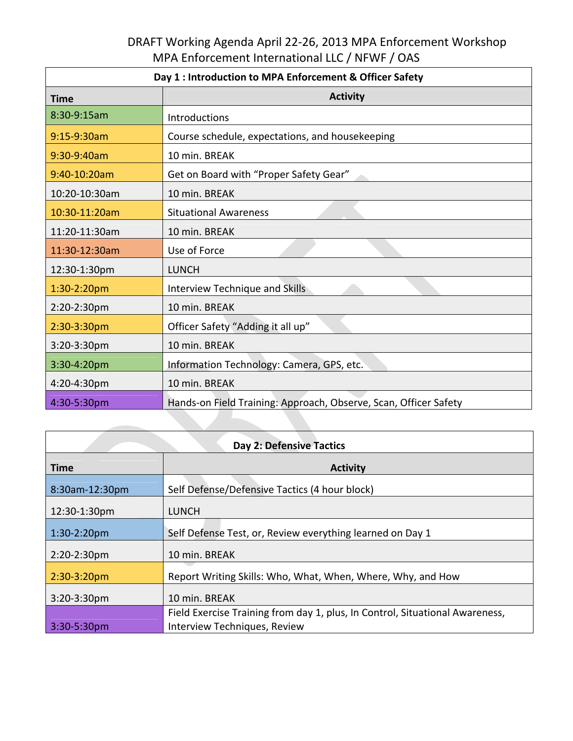## DRAFT Working Agenda April 22‐26, 2013 MPA Enforcement Workshop MPA Enforcement International LLC / NFWF / OAS

| Day 1 : Introduction to MPA Enforcement & Officer Safety |                                                                  |  |
|----------------------------------------------------------|------------------------------------------------------------------|--|
| <b>Time</b>                                              | <b>Activity</b>                                                  |  |
| 8:30-9:15am                                              | Introductions                                                    |  |
| 9:15-9:30am                                              | Course schedule, expectations, and housekeeping                  |  |
| 9:30-9:40am                                              | 10 min. BREAK                                                    |  |
| 9:40-10:20am                                             | Get on Board with "Proper Safety Gear"                           |  |
| 10:20-10:30am                                            | 10 min. BREAK                                                    |  |
| 10:30-11:20am                                            | <b>Situational Awareness</b>                                     |  |
| 11:20-11:30am                                            | 10 min. BREAK                                                    |  |
| 11:30-12:30am                                            | Use of Force                                                     |  |
| 12:30-1:30pm                                             | <b>LUNCH</b>                                                     |  |
| $1:30-2:20$ pm                                           | Interview Technique and Skills                                   |  |
| 2:20-2:30pm                                              | 10 min. BREAK                                                    |  |
| 2:30-3:30pm                                              | Officer Safety "Adding it all up"                                |  |
| $3:20-3:30$ pm                                           | 10 min. BREAK                                                    |  |
| 3:30-4:20pm                                              | Information Technology: Camera, GPS, etc.                        |  |
| 4:20-4:30pm                                              | 10 min. BREAK                                                    |  |
| 4:30-5:30pm                                              | Hands-on Field Training: Approach, Observe, Scan, Officer Safety |  |

| <b>Day 2: Defensive Tactics</b> |                                                                              |  |
|---------------------------------|------------------------------------------------------------------------------|--|
| <b>Time</b>                     | <b>Activity</b>                                                              |  |
| 8:30am-12:30pm                  | Self Defense/Defensive Tactics (4 hour block)                                |  |
| 12:30-1:30pm                    | <b>LUNCH</b>                                                                 |  |
| $1:30-2:20$ pm                  | Self Defense Test, or, Review everything learned on Day 1                    |  |
| $2:20-2:30$ pm                  | 10 min. BREAK                                                                |  |
| $2:30-3:20pm$                   | Report Writing Skills: Who, What, When, Where, Why, and How                  |  |
| $3:20-3:30$ pm                  | 10 min. BREAK                                                                |  |
|                                 | Field Exercise Training from day 1, plus, In Control, Situational Awareness, |  |
| 3:30-5:30pm                     | Interview Techniques, Review                                                 |  |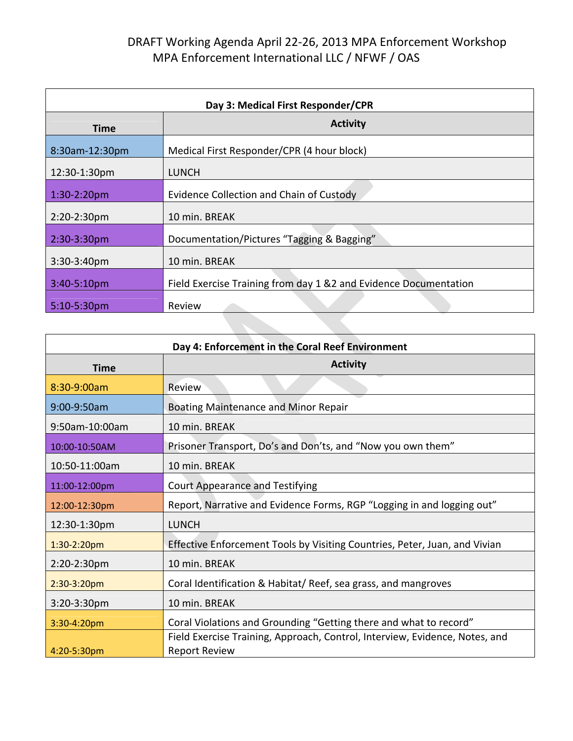## DRAFT Working Agenda April 22‐26, 2013 MPA Enforcement Workshop MPA Enforcement International LLC / NFWF / OAS

| Day 3: Medical First Responder/CPR |                                                                   |  |
|------------------------------------|-------------------------------------------------------------------|--|
| <b>Time</b>                        | <b>Activity</b>                                                   |  |
| 8:30am-12:30pm                     | Medical First Responder/CPR (4 hour block)                        |  |
| 12:30-1:30pm                       | <b>LUNCH</b>                                                      |  |
| $1:30-2:20$ pm                     | Evidence Collection and Chain of Custody                          |  |
| 2:20-2:30pm                        | 10 min. BREAK                                                     |  |
| 2:30-3:30pm                        | Documentation/Pictures "Tagging & Bagging"                        |  |
| $3:30-3:40$ pm                     | 10 min. BREAK                                                     |  |
| 3:40-5:10pm                        | Field Exercise Training from day 1 & 2 and Evidence Documentation |  |
| $5:10-5:30$ pm                     | Review                                                            |  |

| Day 4: Enforcement in the Coral Reef Environment |                                                                                                     |  |
|--------------------------------------------------|-----------------------------------------------------------------------------------------------------|--|
| <b>Time</b>                                      | <b>Activity</b>                                                                                     |  |
| 8:30-9:00am                                      | Review                                                                                              |  |
| 9:00-9:50am                                      | <b>Boating Maintenance and Minor Repair</b>                                                         |  |
| 9:50am-10:00am                                   | 10 min. BREAK                                                                                       |  |
| 10:00-10:50AM                                    | Prisoner Transport, Do's and Don'ts, and "Now you own them"                                         |  |
| 10:50-11:00am                                    | 10 min. BREAK                                                                                       |  |
| 11:00-12:00pm                                    | <b>Court Appearance and Testifying</b>                                                              |  |
| 12:00-12:30pm                                    | Report, Narrative and Evidence Forms, RGP "Logging in and logging out"                              |  |
| 12:30-1:30pm                                     | <b>LUNCH</b>                                                                                        |  |
| 1:30-2:20pm                                      | Effective Enforcement Tools by Visiting Countries, Peter, Juan, and Vivian                          |  |
| 2:20-2:30pm                                      | 10 min. BREAK                                                                                       |  |
| 2:30-3:20pm                                      | Coral Identification & Habitat/ Reef, sea grass, and mangroves                                      |  |
| 3:20-3:30pm                                      | 10 min. BREAK                                                                                       |  |
| 3:30-4:20pm                                      | Coral Violations and Grounding "Getting there and what to record"                                   |  |
| $4:20 - 5:30$ pm                                 | Field Exercise Training, Approach, Control, Interview, Evidence, Notes, and<br><b>Report Review</b> |  |